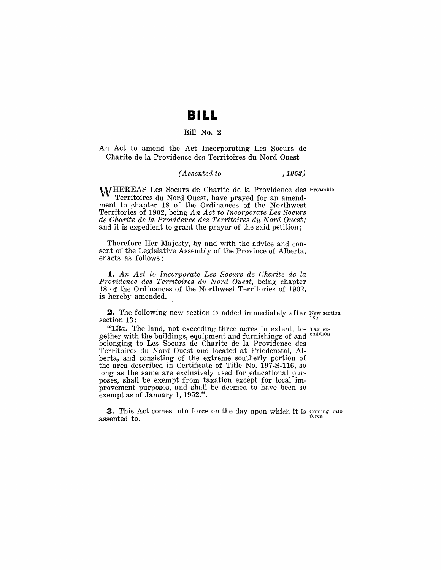## **BILL**

#### Bill No.2

An Act to amend the Act Incorporating Les 80eurs de Charite de la Providence des Territoires du Nord Ouest

#### *( Assented to* ,1953)

WHEREAS Les Soeurs de Charite de la Providence des Preamble Territoires du Nord Ouest, have prayed for an amendment to chapter 18 of the Ordinances of the Northwest Territories of 1902, being *An Act to Incorporate Les Soeurs de Charite de la Providence des Territoires du Nord Ouest;*  and it is expedient to grant the prayer of the said petition;

Therefore Her Majesty, by and with the advice and consent of the Legislative Assembly of the Province of Alberta, enacts as follows:

*1. An Act to Incorporate Les Soeurs de Charite de la Providence des Territoires du Nord Ouest,* being chapter 18 of the Ordinances of the Northwest Territories of 1902, is hereby amended.

**2.** The following new section is added immediately after  $N_{\text{eff}}$  section section 13: *13a* 

"13a. The land, not exceeding three acres in extent, to- Tax exgether with the buildings, equipment and furnishings of and <sup>emption</sup> belonging to Les 80eurs de Charite de la Providence des Territoires du Nord Ouest and located at Friedenstal, Alberta, and consisting of the extreme southerly portion of the area described in Certificate of Title No. 197-8-116, so long as the same are exclusively used for educational purposes, shall be exempt from taxation except for local improvement purposes, and shall be deemed to have been so exempt as of January 1, 1952.".

3. This Act comes into force on the day upon which it is Coming into  $\sum_{\text{force}}$  assented to.